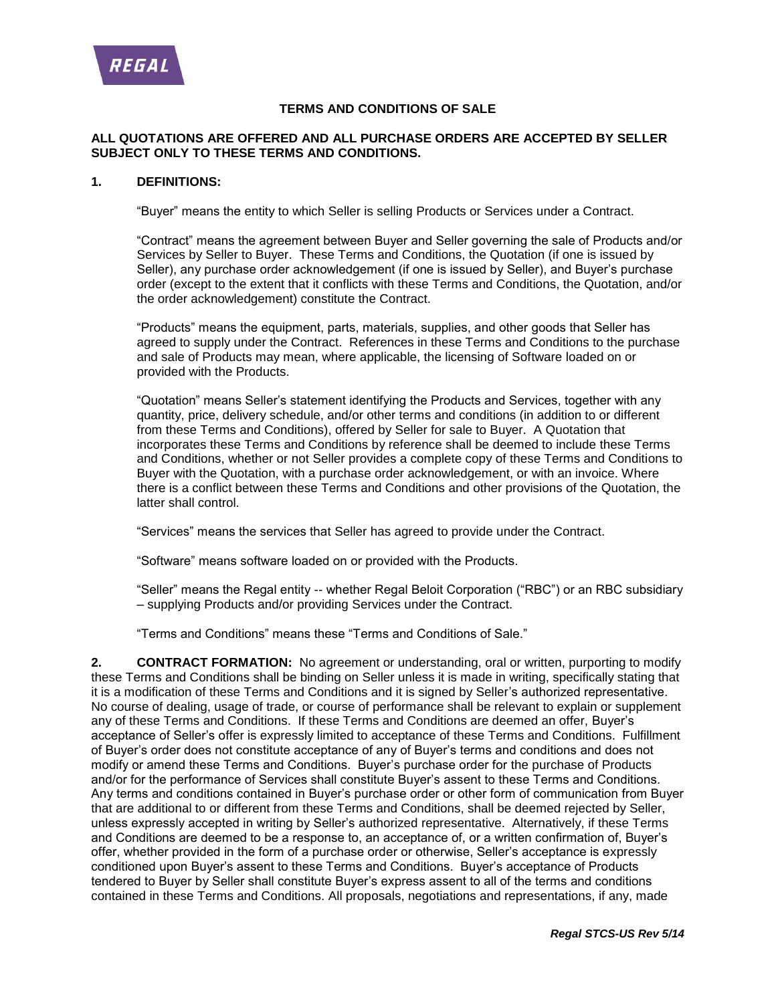

#### **TERMS AND CONDITIONS OF SALE**

### **ALL QUOTATIONS ARE OFFERED AND ALL PURCHASE ORDERS ARE ACCEPTED BY SELLER SUBJECT ONLY TO THESE TERMS AND CONDITIONS.**

#### **1. DEFINITIONS:**

"Buyer" means the entity to which Seller is selling Products or Services under a Contract.

"Contract" means the agreement between Buyer and Seller governing the sale of Products and/or Services by Seller to Buyer. These Terms and Conditions, the Quotation (if one is issued by Seller), any purchase order acknowledgement (if one is issued by Seller), and Buyer's purchase order (except to the extent that it conflicts with these Terms and Conditions, the Quotation, and/or the order acknowledgement) constitute the Contract.

"Products" means the equipment, parts, materials, supplies, and other goods that Seller has agreed to supply under the Contract. References in these Terms and Conditions to the purchase and sale of Products may mean, where applicable, the licensing of Software loaded on or provided with the Products.

"Quotation" means Seller's statement identifying the Products and Services, together with any quantity, price, delivery schedule, and/or other terms and conditions (in addition to or different from these Terms and Conditions), offered by Seller for sale to Buyer. A Quotation that incorporates these Terms and Conditions by reference shall be deemed to include these Terms and Conditions, whether or not Seller provides a complete copy of these Terms and Conditions to Buyer with the Quotation, with a purchase order acknowledgement, or with an invoice. Where there is a conflict between these Terms and Conditions and other provisions of the Quotation, the latter shall control.

"Services" means the services that Seller has agreed to provide under the Contract.

"Software" means software loaded on or provided with the Products.

"Seller" means the Regal entity -- whether Regal Beloit Corporation ("RBC") or an RBC subsidiary – supplying Products and/or providing Services under the Contract.

"Terms and Conditions" means these "Terms and Conditions of Sale."

**2. CONTRACT FORMATION:** No agreement or understanding, oral or written, purporting to modify these Terms and Conditions shall be binding on Seller unless it is made in writing, specifically stating that it is a modification of these Terms and Conditions and it is signed by Seller's authorized representative. No course of dealing, usage of trade, or course of performance shall be relevant to explain or supplement any of these Terms and Conditions. If these Terms and Conditions are deemed an offer, Buyer's acceptance of Seller's offer is expressly limited to acceptance of these Terms and Conditions. Fulfillment of Buyer's order does not constitute acceptance of any of Buyer's terms and conditions and does not modify or amend these Terms and Conditions. Buyer's purchase order for the purchase of Products and/or for the performance of Services shall constitute Buyer's assent to these Terms and Conditions. Any terms and conditions contained in Buyer's purchase order or other form of communication from Buyer that are additional to or different from these Terms and Conditions, shall be deemed rejected by Seller, unless expressly accepted in writing by Seller's authorized representative. Alternatively, if these Terms and Conditions are deemed to be a response to, an acceptance of, or a written confirmation of, Buyer's offer, whether provided in the form of a purchase order or otherwise, Seller's acceptance is expressly conditioned upon Buyer's assent to these Terms and Conditions. Buyer's acceptance of Products tendered to Buyer by Seller shall constitute Buyer's express assent to all of the terms and conditions contained in these Terms and Conditions. All proposals, negotiations and representations, if any, made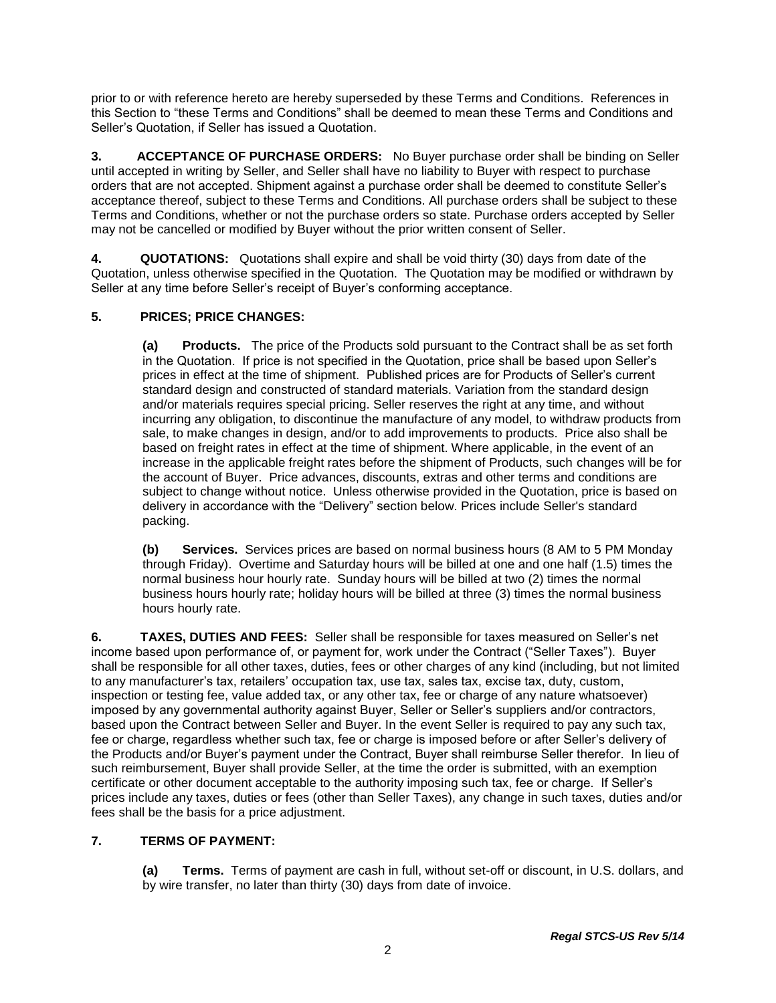prior to or with reference hereto are hereby superseded by these Terms and Conditions. References in this Section to "these Terms and Conditions" shall be deemed to mean these Terms and Conditions and Seller's Quotation, if Seller has issued a Quotation.

**3. ACCEPTANCE OF PURCHASE ORDERS:** No Buyer purchase order shall be binding on Seller until accepted in writing by Seller, and Seller shall have no liability to Buyer with respect to purchase orders that are not accepted. Shipment against a purchase order shall be deemed to constitute Seller's acceptance thereof, subject to these Terms and Conditions. All purchase orders shall be subject to these Terms and Conditions, whether or not the purchase orders so state. Purchase orders accepted by Seller may not be cancelled or modified by Buyer without the prior written consent of Seller.

**4. QUOTATIONS:** Quotations shall expire and shall be void thirty (30) days from date of the Quotation, unless otherwise specified in the Quotation. The Quotation may be modified or withdrawn by Seller at any time before Seller's receipt of Buyer's conforming acceptance.

# **5. PRICES; PRICE CHANGES:**

**(a) Products.** The price of the Products sold pursuant to the Contract shall be as set forth in the Quotation. If price is not specified in the Quotation, price shall be based upon Seller's prices in effect at the time of shipment. Published prices are for Products of Seller's current standard design and constructed of standard materials. Variation from the standard design and/or materials requires special pricing. Seller reserves the right at any time, and without incurring any obligation, to discontinue the manufacture of any model, to withdraw products from sale, to make changes in design, and/or to add improvements to products. Price also shall be based on freight rates in effect at the time of shipment. Where applicable, in the event of an increase in the applicable freight rates before the shipment of Products, such changes will be for the account of Buyer. Price advances, discounts, extras and other terms and conditions are subject to change without notice. Unless otherwise provided in the Quotation, price is based on delivery in accordance with the "Delivery" section below. Prices include Seller's standard packing.

**(b) Services.** Services prices are based on normal business hours (8 AM to 5 PM Monday through Friday). Overtime and Saturday hours will be billed at one and one half (1.5) times the normal business hour hourly rate. Sunday hours will be billed at two (2) times the normal business hours hourly rate; holiday hours will be billed at three (3) times the normal business hours hourly rate.

**6. TAXES, DUTIES AND FEES:** Seller shall be responsible for taxes measured on Seller's net income based upon performance of, or payment for, work under the Contract ("Seller Taxes"). Buyer shall be responsible for all other taxes, duties, fees or other charges of any kind (including, but not limited to any manufacturer's tax, retailers' occupation tax, use tax, sales tax, excise tax, duty, custom, inspection or testing fee, value added tax, or any other tax, fee or charge of any nature whatsoever) imposed by any governmental authority against Buyer, Seller or Seller's suppliers and/or contractors, based upon the Contract between Seller and Buyer. In the event Seller is required to pay any such tax, fee or charge, regardless whether such tax, fee or charge is imposed before or after Seller's delivery of the Products and/or Buyer's payment under the Contract, Buyer shall reimburse Seller therefor. In lieu of such reimbursement, Buyer shall provide Seller, at the time the order is submitted, with an exemption certificate or other document acceptable to the authority imposing such tax, fee or charge. If Seller's prices include any taxes, duties or fees (other than Seller Taxes), any change in such taxes, duties and/or fees shall be the basis for a price adjustment.

## **7. TERMS OF PAYMENT:**

**(a) Terms.** Terms of payment are cash in full, without set-off or discount, in U.S. dollars, and by wire transfer, no later than thirty (30) days from date of invoice.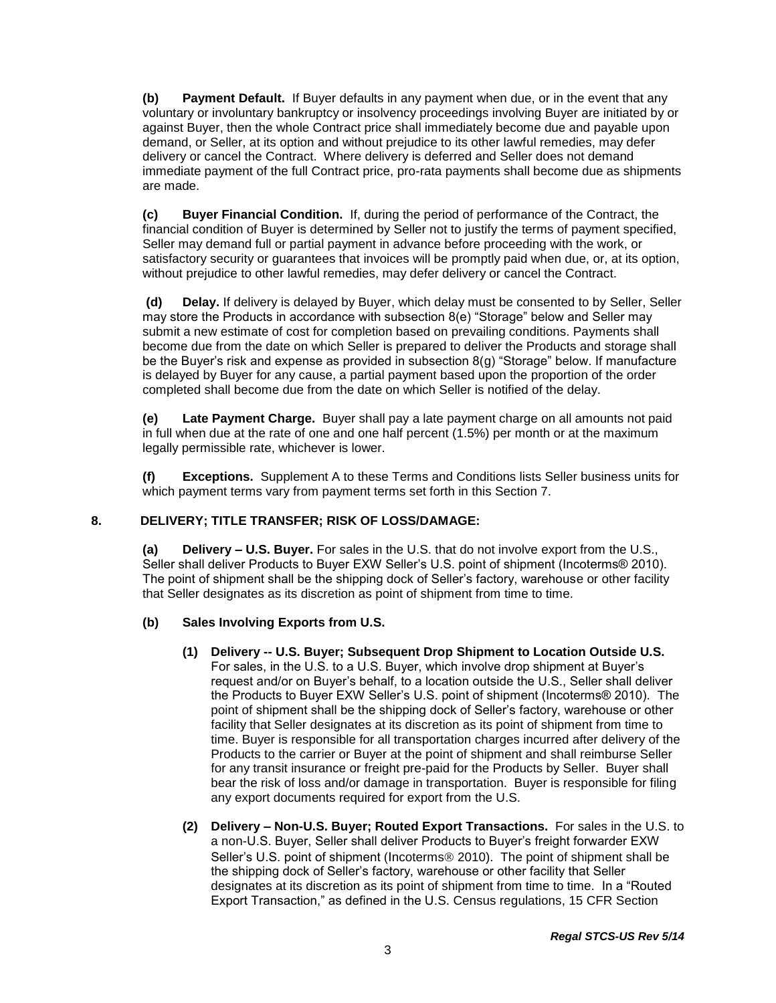**(b) Payment Default.** If Buyer defaults in any payment when due, or in the event that any voluntary or involuntary bankruptcy or insolvency proceedings involving Buyer are initiated by or against Buyer, then the whole Contract price shall immediately become due and payable upon demand, or Seller, at its option and without prejudice to its other lawful remedies, may defer delivery or cancel the Contract. Where delivery is deferred and Seller does not demand immediate payment of the full Contract price, pro-rata payments shall become due as shipments are made.

**(c) Buyer Financial Condition.** If, during the period of performance of the Contract, the financial condition of Buyer is determined by Seller not to justify the terms of payment specified, Seller may demand full or partial payment in advance before proceeding with the work, or satisfactory security or guarantees that invoices will be promptly paid when due, or, at its option, without prejudice to other lawful remedies, may defer delivery or cancel the Contract.

**(d) Delay.** If delivery is delayed by Buyer, which delay must be consented to by Seller, Seller may store the Products in accordance with subsection 8(e) "Storage" below and Seller may submit a new estimate of cost for completion based on prevailing conditions. Payments shall become due from the date on which Seller is prepared to deliver the Products and storage shall be the Buyer's risk and expense as provided in subsection 8(g) "Storage" below. If manufacture is delayed by Buyer for any cause, a partial payment based upon the proportion of the order completed shall become due from the date on which Seller is notified of the delay.

**(e) Late Payment Charge.** Buyer shall pay a late payment charge on all amounts not paid in full when due at the rate of one and one half percent (1.5%) per month or at the maximum legally permissible rate, whichever is lower.

**(f) Exceptions.** Supplement A to these Terms and Conditions lists Seller business units for which payment terms vary from payment terms set forth in this Section 7.

## **8. DELIVERY; TITLE TRANSFER; RISK OF LOSS/DAMAGE:**

**(a) Delivery – U.S. Buyer.** For sales in the U.S. that do not involve export from the U.S., Seller shall deliver Products to Buyer EXW Seller's U.S. point of shipment (Incoterms® 2010). The point of shipment shall be the shipping dock of Seller's factory, warehouse or other facility that Seller designates as its discretion as point of shipment from time to time.

## **(b) Sales Involving Exports from U.S.**

- **(1) Delivery -- U.S. Buyer; Subsequent Drop Shipment to Location Outside U.S.** For sales, in the U.S. to a U.S. Buyer, which involve drop shipment at Buyer's request and/or on Buyer's behalf, to a location outside the U.S., Seller shall deliver the Products to Buyer EXW Seller's U.S. point of shipment (Incoterms® 2010). The point of shipment shall be the shipping dock of Seller's factory, warehouse or other facility that Seller designates at its discretion as its point of shipment from time to time. Buyer is responsible for all transportation charges incurred after delivery of the Products to the carrier or Buyer at the point of shipment and shall reimburse Seller for any transit insurance or freight pre-paid for the Products by Seller. Buyer shall bear the risk of loss and/or damage in transportation. Buyer is responsible for filing any export documents required for export from the U.S.
- **(2) Delivery – Non-U.S. Buyer; Routed Export Transactions.** For sales in the U.S. to a non-U.S. Buyer, Seller shall deliver Products to Buyer's freight forwarder EXW Seller's U.S. point of shipment (Incoterms<sup>®</sup> 2010). The point of shipment shall be the shipping dock of Seller's factory, warehouse or other facility that Seller designates at its discretion as its point of shipment from time to time. In a "Routed Export Transaction," as defined in the U.S. Census regulations, 15 CFR Section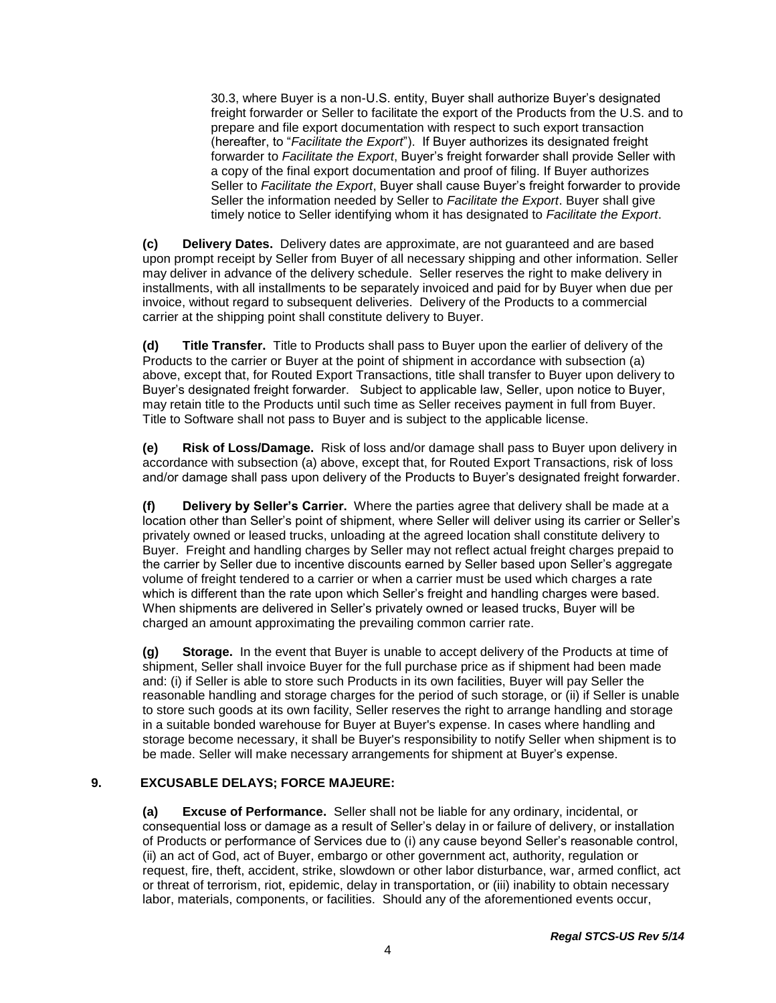30.3, where Buyer is a non-U.S. entity, Buyer shall authorize Buyer's designated freight forwarder or Seller to facilitate the export of the Products from the U.S. and to prepare and file export documentation with respect to such export transaction (hereafter, to "*Facilitate the Export*"). If Buyer authorizes its designated freight forwarder to *Facilitate the Export*, Buyer's freight forwarder shall provide Seller with a copy of the final export documentation and proof of filing. If Buyer authorizes Seller to *Facilitate the Export*, Buyer shall cause Buyer's freight forwarder to provide Seller the information needed by Seller to *Facilitate the Export*. Buyer shall give timely notice to Seller identifying whom it has designated to *Facilitate the Export*.

**(c) Delivery Dates.** Delivery dates are approximate, are not guaranteed and are based upon prompt receipt by Seller from Buyer of all necessary shipping and other information. Seller may deliver in advance of the delivery schedule. Seller reserves the right to make delivery in installments, with all installments to be separately invoiced and paid for by Buyer when due per invoice, without regard to subsequent deliveries. Delivery of the Products to a commercial carrier at the shipping point shall constitute delivery to Buyer.

**(d) Title Transfer.** Title to Products shall pass to Buyer upon the earlier of delivery of the Products to the carrier or Buyer at the point of shipment in accordance with subsection (a) above, except that, for Routed Export Transactions, title shall transfer to Buyer upon delivery to Buyer's designated freight forwarder. Subject to applicable law, Seller, upon notice to Buyer, may retain title to the Products until such time as Seller receives payment in full from Buyer. Title to Software shall not pass to Buyer and is subject to the applicable license.

**(e) Risk of Loss/Damage.** Risk of loss and/or damage shall pass to Buyer upon delivery in accordance with subsection (a) above, except that, for Routed Export Transactions, risk of loss and/or damage shall pass upon delivery of the Products to Buyer's designated freight forwarder.

**(f) Delivery by Seller's Carrier.** Where the parties agree that delivery shall be made at a location other than Seller's point of shipment, where Seller will deliver using its carrier or Seller's privately owned or leased trucks, unloading at the agreed location shall constitute delivery to Buyer. Freight and handling charges by Seller may not reflect actual freight charges prepaid to the carrier by Seller due to incentive discounts earned by Seller based upon Seller's aggregate volume of freight tendered to a carrier or when a carrier must be used which charges a rate which is different than the rate upon which Seller's freight and handling charges were based. When shipments are delivered in Seller's privately owned or leased trucks, Buyer will be charged an amount approximating the prevailing common carrier rate.

**(g) Storage.** In the event that Buyer is unable to accept delivery of the Products at time of shipment, Seller shall invoice Buyer for the full purchase price as if shipment had been made and: (i) if Seller is able to store such Products in its own facilities, Buyer will pay Seller the reasonable handling and storage charges for the period of such storage, or (ii) if Seller is unable to store such goods at its own facility, Seller reserves the right to arrange handling and storage in a suitable bonded warehouse for Buyer at Buyer's expense. In cases where handling and storage become necessary, it shall be Buyer's responsibility to notify Seller when shipment is to be made. Seller will make necessary arrangements for shipment at Buyer's expense.

## **9. EXCUSABLE DELAYS; FORCE MAJEURE:**

**(a) Excuse of Performance.** Seller shall not be liable for any ordinary, incidental, or consequential loss or damage as a result of Seller's delay in or failure of delivery, or installation of Products or performance of Services due to (i) any cause beyond Seller's reasonable control, (ii) an act of God, act of Buyer, embargo or other government act, authority, regulation or request, fire, theft, accident, strike, slowdown or other labor disturbance, war, armed conflict, act or threat of terrorism, riot, epidemic, delay in transportation, or (iii) inability to obtain necessary labor, materials, components, or facilities. Should any of the aforementioned events occur,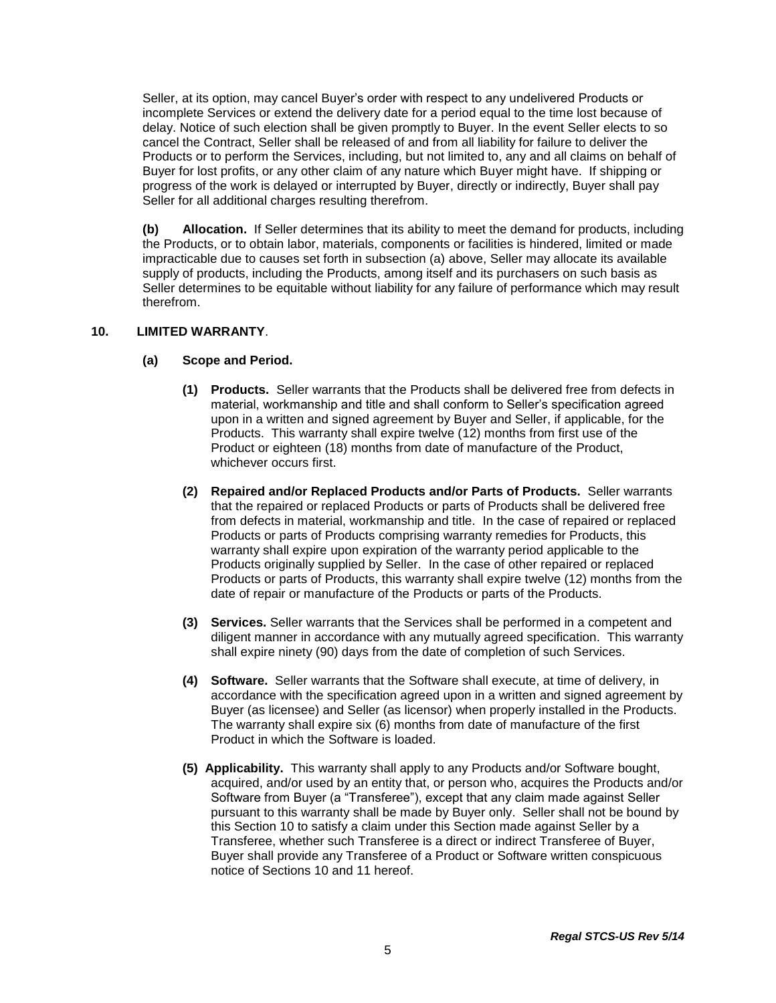Seller, at its option, may cancel Buyer's order with respect to any undelivered Products or incomplete Services or extend the delivery date for a period equal to the time lost because of delay. Notice of such election shall be given promptly to Buyer. In the event Seller elects to so cancel the Contract, Seller shall be released of and from all liability for failure to deliver the Products or to perform the Services, including, but not limited to, any and all claims on behalf of Buyer for lost profits, or any other claim of any nature which Buyer might have. If shipping or progress of the work is delayed or interrupted by Buyer, directly or indirectly, Buyer shall pay Seller for all additional charges resulting therefrom.

**(b) Allocation.** If Seller determines that its ability to meet the demand for products, including the Products, or to obtain labor, materials, components or facilities is hindered, limited or made impracticable due to causes set forth in subsection (a) above, Seller may allocate its available supply of products, including the Products, among itself and its purchasers on such basis as Seller determines to be equitable without liability for any failure of performance which may result therefrom.

### **10. LIMITED WARRANTY**.

### **(a) Scope and Period.**

- **(1) Products.** Seller warrants that the Products shall be delivered free from defects in material, workmanship and title and shall conform to Seller's specification agreed upon in a written and signed agreement by Buyer and Seller, if applicable, for the Products. This warranty shall expire twelve (12) months from first use of the Product or eighteen (18) months from date of manufacture of the Product, whichever occurs first.
- **(2) Repaired and/or Replaced Products and/or Parts of Products.** Seller warrants that the repaired or replaced Products or parts of Products shall be delivered free from defects in material, workmanship and title. In the case of repaired or replaced Products or parts of Products comprising warranty remedies for Products, this warranty shall expire upon expiration of the warranty period applicable to the Products originally supplied by Seller. In the case of other repaired or replaced Products or parts of Products, this warranty shall expire twelve (12) months from the date of repair or manufacture of the Products or parts of the Products.
- **(3) Services.** Seller warrants that the Services shall be performed in a competent and diligent manner in accordance with any mutually agreed specification. This warranty shall expire ninety (90) days from the date of completion of such Services.
- **(4) Software.** Seller warrants that the Software shall execute, at time of delivery, in accordance with the specification agreed upon in a written and signed agreement by Buyer (as licensee) and Seller (as licensor) when properly installed in the Products. The warranty shall expire six (6) months from date of manufacture of the first Product in which the Software is loaded.
- **(5) Applicability.** This warranty shall apply to any Products and/or Software bought, acquired, and/or used by an entity that, or person who, acquires the Products and/or Software from Buyer (a "Transferee"), except that any claim made against Seller pursuant to this warranty shall be made by Buyer only. Seller shall not be bound by this Section 10 to satisfy a claim under this Section made against Seller by a Transferee, whether such Transferee is a direct or indirect Transferee of Buyer, Buyer shall provide any Transferee of a Product or Software written conspicuous notice of Sections 10 and 11 hereof.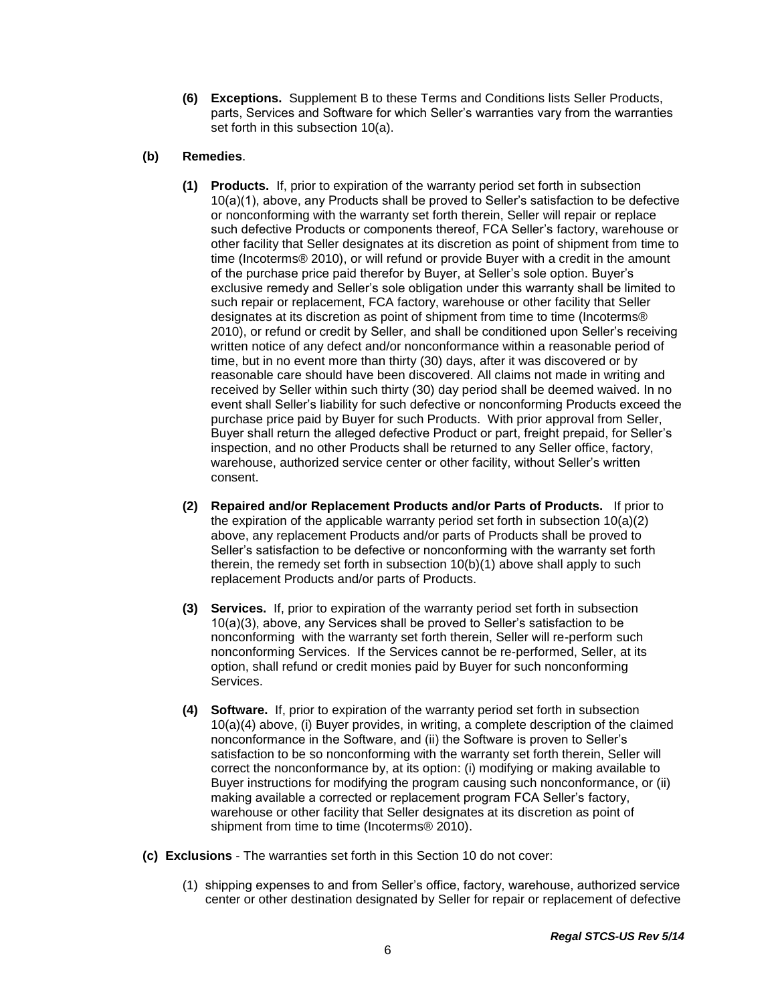**(6) Exceptions.** Supplement B to these Terms and Conditions lists Seller Products, parts, Services and Software for which Seller's warranties vary from the warranties set forth in this subsection 10(a).

## **(b) Remedies**.

- **(1) Products.** If, prior to expiration of the warranty period set forth in subsection 10(a)(1), above, any Products shall be proved to Seller's satisfaction to be defective or nonconforming with the warranty set forth therein, Seller will repair or replace such defective Products or components thereof, FCA Seller's factory, warehouse or other facility that Seller designates at its discretion as point of shipment from time to time (Incoterms® 2010), or will refund or provide Buyer with a credit in the amount of the purchase price paid therefor by Buyer, at Seller's sole option. Buyer's exclusive remedy and Seller's sole obligation under this warranty shall be limited to such repair or replacement, FCA factory, warehouse or other facility that Seller designates at its discretion as point of shipment from time to time (Incoterms® 2010), or refund or credit by Seller, and shall be conditioned upon Seller's receiving written notice of any defect and/or nonconformance within a reasonable period of time, but in no event more than thirty (30) days, after it was discovered or by reasonable care should have been discovered. All claims not made in writing and received by Seller within such thirty (30) day period shall be deemed waived. In no event shall Seller's liability for such defective or nonconforming Products exceed the purchase price paid by Buyer for such Products. With prior approval from Seller, Buyer shall return the alleged defective Product or part, freight prepaid, for Seller's inspection, and no other Products shall be returned to any Seller office, factory, warehouse, authorized service center or other facility, without Seller's written consent.
- **(2) Repaired and/or Replacement Products and/or Parts of Products.** If prior to the expiration of the applicable warranty period set forth in subsection 10(a)(2) above, any replacement Products and/or parts of Products shall be proved to Seller's satisfaction to be defective or nonconforming with the warranty set forth therein, the remedy set forth in subsection 10(b)(1) above shall apply to such replacement Products and/or parts of Products.
- **(3) Services.** If, prior to expiration of the warranty period set forth in subsection 10(a)(3), above, any Services shall be proved to Seller's satisfaction to be nonconforming with the warranty set forth therein, Seller will re-perform such nonconforming Services. If the Services cannot be re-performed, Seller, at its option, shall refund or credit monies paid by Buyer for such nonconforming Services.
- **(4) Software.** If, prior to expiration of the warranty period set forth in subsection 10(a)(4) above, (i) Buyer provides, in writing, a complete description of the claimed nonconformance in the Software, and (ii) the Software is proven to Seller's satisfaction to be so nonconforming with the warranty set forth therein, Seller will correct the nonconformance by, at its option: (i) modifying or making available to Buyer instructions for modifying the program causing such nonconformance, or (ii) making available a corrected or replacement program FCA Seller's factory, warehouse or other facility that Seller designates at its discretion as point of shipment from time to time (Incoterms® 2010).
- **(c) Exclusions**  The warranties set forth in this Section 10 do not cover:
	- (1) shipping expenses to and from Seller's office, factory, warehouse, authorized service center or other destination designated by Seller for repair or replacement of defective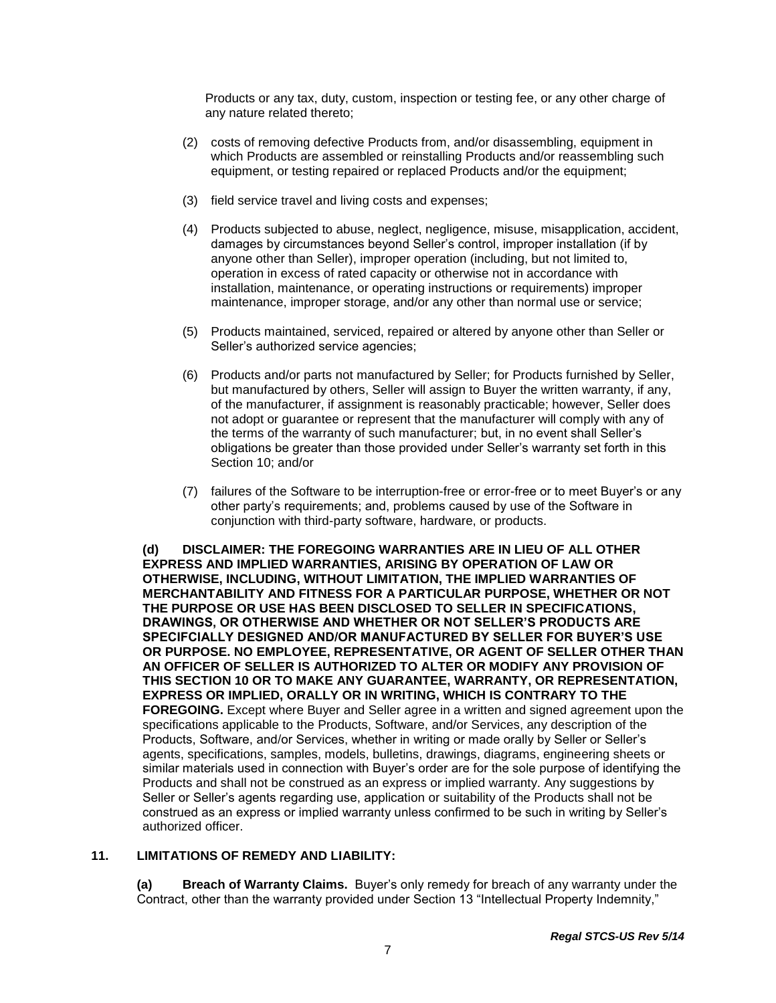Products or any tax, duty, custom, inspection or testing fee, or any other charge of any nature related thereto;

- (2) costs of removing defective Products from, and/or disassembling, equipment in which Products are assembled or reinstalling Products and/or reassembling such equipment, or testing repaired or replaced Products and/or the equipment;
- (3) field service travel and living costs and expenses;
- (4) Products subjected to abuse, neglect, negligence, misuse, misapplication, accident, damages by circumstances beyond Seller's control, improper installation (if by anyone other than Seller), improper operation (including, but not limited to, operation in excess of rated capacity or otherwise not in accordance with installation, maintenance, or operating instructions or requirements) improper maintenance, improper storage, and/or any other than normal use or service;
- (5) Products maintained, serviced, repaired or altered by anyone other than Seller or Seller's authorized service agencies;
- (6) Products and/or parts not manufactured by Seller; for Products furnished by Seller, but manufactured by others, Seller will assign to Buyer the written warranty, if any, of the manufacturer, if assignment is reasonably practicable; however, Seller does not adopt or guarantee or represent that the manufacturer will comply with any of the terms of the warranty of such manufacturer; but, in no event shall Seller's obligations be greater than those provided under Seller's warranty set forth in this Section 10; and/or
- (7) failures of the Software to be interruption-free or error-free or to meet Buyer's or any other party's requirements; and, problems caused by use of the Software in conjunction with third-party software, hardware, or products.

**(d) DISCLAIMER: THE FOREGOING WARRANTIES ARE IN LIEU OF ALL OTHER EXPRESS AND IMPLIED WARRANTIES, ARISING BY OPERATION OF LAW OR OTHERWISE, INCLUDING, WITHOUT LIMITATION, THE IMPLIED WARRANTIES OF MERCHANTABILITY AND FITNESS FOR A PARTICULAR PURPOSE, WHETHER OR NOT THE PURPOSE OR USE HAS BEEN DISCLOSED TO SELLER IN SPECIFICATIONS, DRAWINGS, OR OTHERWISE AND WHETHER OR NOT SELLER'S PRODUCTS ARE SPECIFCIALLY DESIGNED AND/OR MANUFACTURED BY SELLER FOR BUYER'S USE OR PURPOSE. NO EMPLOYEE, REPRESENTATIVE, OR AGENT OF SELLER OTHER THAN AN OFFICER OF SELLER IS AUTHORIZED TO ALTER OR MODIFY ANY PROVISION OF THIS SECTION 10 OR TO MAKE ANY GUARANTEE, WARRANTY, OR REPRESENTATION, EXPRESS OR IMPLIED, ORALLY OR IN WRITING, WHICH IS CONTRARY TO THE FOREGOING.** Except where Buyer and Seller agree in a written and signed agreement upon the specifications applicable to the Products, Software, and/or Services, any description of the Products, Software, and/or Services, whether in writing or made orally by Seller or Seller's agents, specifications, samples, models, bulletins, drawings, diagrams, engineering sheets or similar materials used in connection with Buyer's order are for the sole purpose of identifying the Products and shall not be construed as an express or implied warranty. Any suggestions by Seller or Seller's agents regarding use, application or suitability of the Products shall not be construed as an express or implied warranty unless confirmed to be such in writing by Seller's authorized officer.

## **11. LIMITATIONS OF REMEDY AND LIABILITY:**

**(a) Breach of Warranty Claims.** Buyer's only remedy for breach of any warranty under the Contract, other than the warranty provided under Section 13 "Intellectual Property Indemnity,"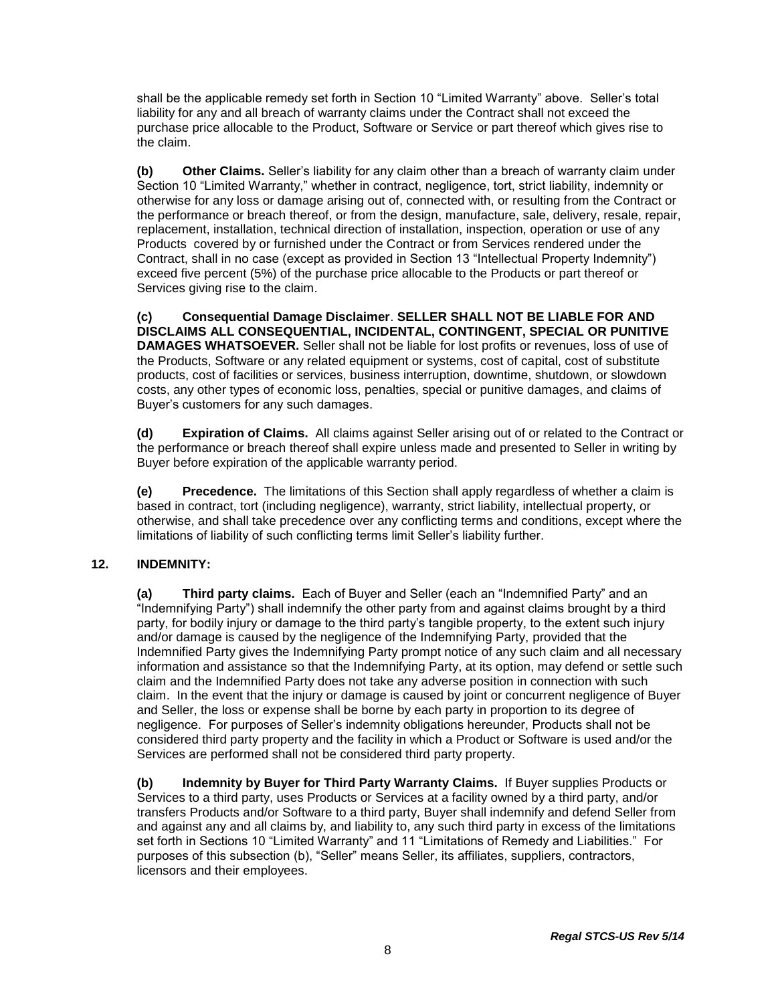shall be the applicable remedy set forth in Section 10 "Limited Warranty" above. Seller's total liability for any and all breach of warranty claims under the Contract shall not exceed the purchase price allocable to the Product, Software or Service or part thereof which gives rise to the claim.

**(b) Other Claims.** Seller's liability for any claim other than a breach of warranty claim under Section 10 "Limited Warranty," whether in contract, negligence, tort, strict liability, indemnity or otherwise for any loss or damage arising out of, connected with, or resulting from the Contract or the performance or breach thereof, or from the design, manufacture, sale, delivery, resale, repair, replacement, installation, technical direction of installation, inspection, operation or use of any Products covered by or furnished under the Contract or from Services rendered under the Contract, shall in no case (except as provided in Section 13 "Intellectual Property Indemnity") exceed five percent (5%) of the purchase price allocable to the Products or part thereof or Services giving rise to the claim.

**(c) Consequential Damage Disclaimer**. **SELLER SHALL NOT BE LIABLE FOR AND DISCLAIMS ALL CONSEQUENTIAL, INCIDENTAL, CONTINGENT, SPECIAL OR PUNITIVE DAMAGES WHATSOEVER.** Seller shall not be liable for lost profits or revenues, loss of use of the Products, Software or any related equipment or systems, cost of capital, cost of substitute products, cost of facilities or services, business interruption, downtime, shutdown, or slowdown costs, any other types of economic loss, penalties, special or punitive damages, and claims of Buyer's customers for any such damages.

**(d) Expiration of Claims.** All claims against Seller arising out of or related to the Contract or the performance or breach thereof shall expire unless made and presented to Seller in writing by Buyer before expiration of the applicable warranty period.

**(e) Precedence.** The limitations of this Section shall apply regardless of whether a claim is based in contract, tort (including negligence), warranty, strict liability, intellectual property, or otherwise, and shall take precedence over any conflicting terms and conditions, except where the limitations of liability of such conflicting terms limit Seller's liability further.

## **12. INDEMNITY:**

**(a) Third party claims.** Each of Buyer and Seller (each an "Indemnified Party" and an "Indemnifying Party") shall indemnify the other party from and against claims brought by a third party, for bodily injury or damage to the third party's tangible property, to the extent such injury and/or damage is caused by the negligence of the Indemnifying Party, provided that the Indemnified Party gives the Indemnifying Party prompt notice of any such claim and all necessary information and assistance so that the Indemnifying Party, at its option, may defend or settle such claim and the Indemnified Party does not take any adverse position in connection with such claim. In the event that the injury or damage is caused by joint or concurrent negligence of Buyer and Seller, the loss or expense shall be borne by each party in proportion to its degree of negligence. For purposes of Seller's indemnity obligations hereunder, Products shall not be considered third party property and the facility in which a Product or Software is used and/or the Services are performed shall not be considered third party property.

**(b) Indemnity by Buyer for Third Party Warranty Claims.** If Buyer supplies Products or Services to a third party, uses Products or Services at a facility owned by a third party, and/or transfers Products and/or Software to a third party, Buyer shall indemnify and defend Seller from and against any and all claims by, and liability to, any such third party in excess of the limitations set forth in Sections 10 "Limited Warranty" and 11 "Limitations of Remedy and Liabilities." For purposes of this subsection (b), "Seller" means Seller, its affiliates, suppliers, contractors, licensors and their employees.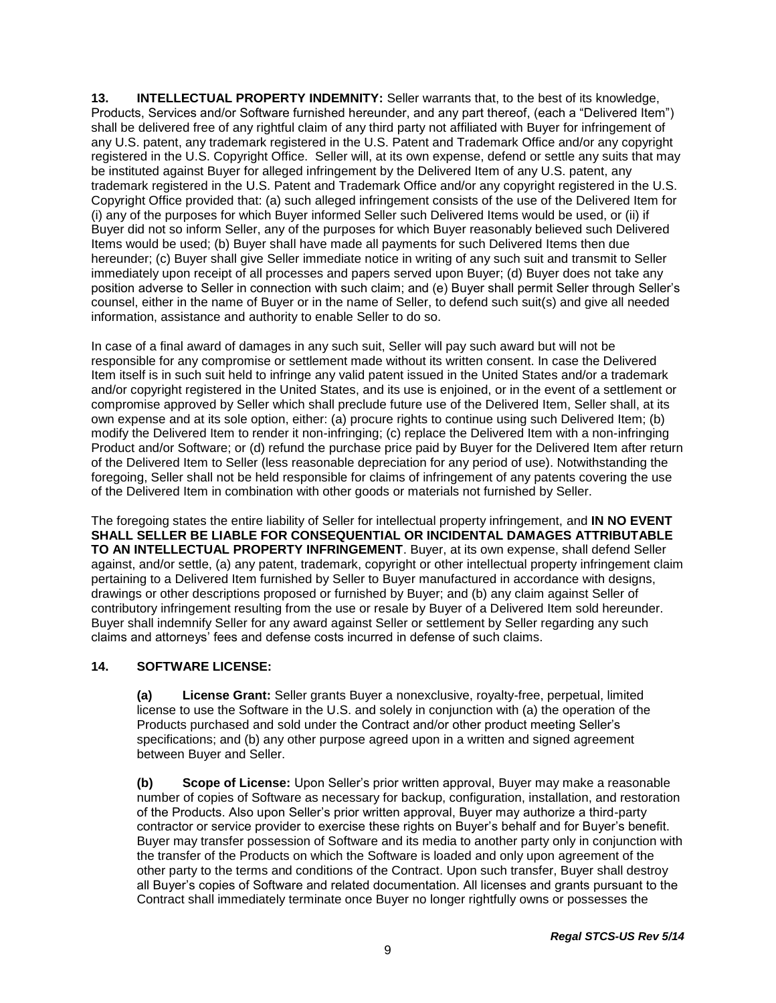**13. INTELLECTUAL PROPERTY INDEMNITY:** Seller warrants that, to the best of its knowledge, Products, Services and/or Software furnished hereunder, and any part thereof, (each a "Delivered Item") shall be delivered free of any rightful claim of any third party not affiliated with Buyer for infringement of any U.S. patent, any trademark registered in the U.S. Patent and Trademark Office and/or any copyright registered in the U.S. Copyright Office. Seller will, at its own expense, defend or settle any suits that may be instituted against Buyer for alleged infringement by the Delivered Item of any U.S. patent, any trademark registered in the U.S. Patent and Trademark Office and/or any copyright registered in the U.S. Copyright Office provided that: (a) such alleged infringement consists of the use of the Delivered Item for (i) any of the purposes for which Buyer informed Seller such Delivered Items would be used, or (ii) if Buyer did not so inform Seller, any of the purposes for which Buyer reasonably believed such Delivered Items would be used; (b) Buyer shall have made all payments for such Delivered Items then due hereunder; (c) Buyer shall give Seller immediate notice in writing of any such suit and transmit to Seller immediately upon receipt of all processes and papers served upon Buyer; (d) Buyer does not take any position adverse to Seller in connection with such claim; and (e) Buyer shall permit Seller through Seller's counsel, either in the name of Buyer or in the name of Seller, to defend such suit(s) and give all needed information, assistance and authority to enable Seller to do so.

In case of a final award of damages in any such suit, Seller will pay such award but will not be responsible for any compromise or settlement made without its written consent. In case the Delivered Item itself is in such suit held to infringe any valid patent issued in the United States and/or a trademark and/or copyright registered in the United States, and its use is enjoined, or in the event of a settlement or compromise approved by Seller which shall preclude future use of the Delivered Item, Seller shall, at its own expense and at its sole option, either: (a) procure rights to continue using such Delivered Item; (b) modify the Delivered Item to render it non-infringing; (c) replace the Delivered Item with a non-infringing Product and/or Software; or (d) refund the purchase price paid by Buyer for the Delivered Item after return of the Delivered Item to Seller (less reasonable depreciation for any period of use). Notwithstanding the foregoing, Seller shall not be held responsible for claims of infringement of any patents covering the use of the Delivered Item in combination with other goods or materials not furnished by Seller.

The foregoing states the entire liability of Seller for intellectual property infringement, and **IN NO EVENT SHALL SELLER BE LIABLE FOR CONSEQUENTIAL OR INCIDENTAL DAMAGES ATTRIBUTABLE TO AN INTELLECTUAL PROPERTY INFRINGEMENT**. Buyer, at its own expense, shall defend Seller against, and/or settle, (a) any patent, trademark, copyright or other intellectual property infringement claim pertaining to a Delivered Item furnished by Seller to Buyer manufactured in accordance with designs, drawings or other descriptions proposed or furnished by Buyer; and (b) any claim against Seller of contributory infringement resulting from the use or resale by Buyer of a Delivered Item sold hereunder. Buyer shall indemnify Seller for any award against Seller or settlement by Seller regarding any such claims and attorneys' fees and defense costs incurred in defense of such claims.

## **14. SOFTWARE LICENSE:**

**(a) License Grant:** Seller grants Buyer a nonexclusive, royalty-free, perpetual, limited license to use the Software in the U.S. and solely in conjunction with (a) the operation of the Products purchased and sold under the Contract and/or other product meeting Seller's specifications; and (b) any other purpose agreed upon in a written and signed agreement between Buyer and Seller.

**(b) Scope of License:** Upon Seller's prior written approval, Buyer may make a reasonable number of copies of Software as necessary for backup, configuration, installation, and restoration of the Products. Also upon Seller's prior written approval, Buyer may authorize a third-party contractor or service provider to exercise these rights on Buyer's behalf and for Buyer's benefit. Buyer may transfer possession of Software and its media to another party only in conjunction with the transfer of the Products on which the Software is loaded and only upon agreement of the other party to the terms and conditions of the Contract. Upon such transfer, Buyer shall destroy all Buyer's copies of Software and related documentation. All licenses and grants pursuant to the Contract shall immediately terminate once Buyer no longer rightfully owns or possesses the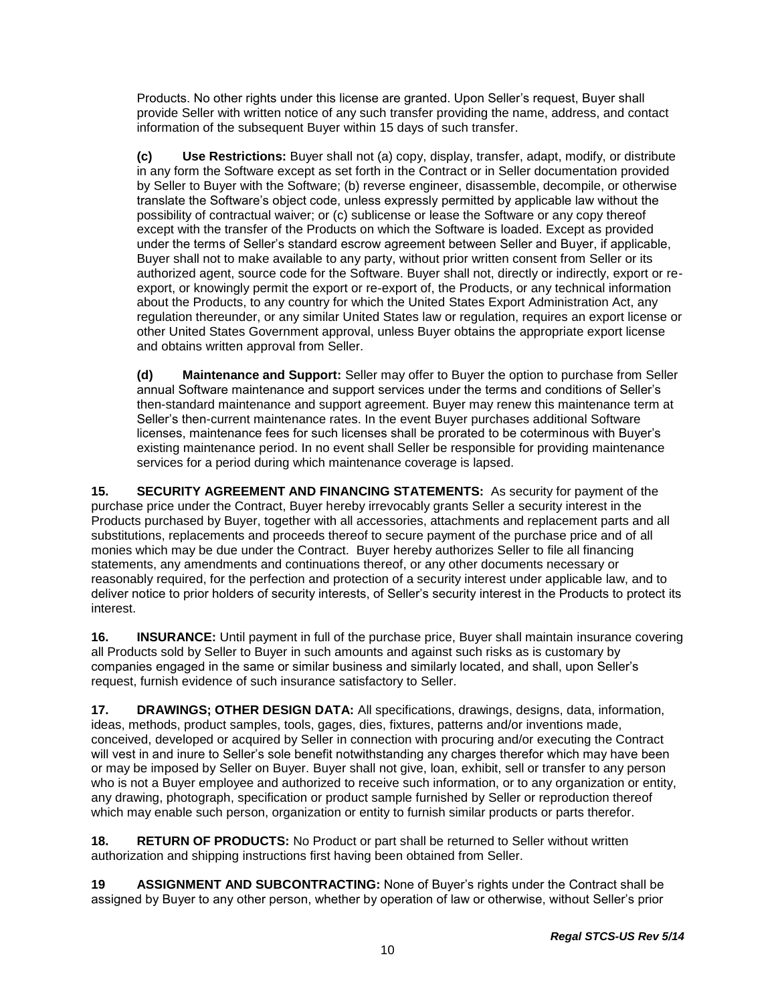Products. No other rights under this license are granted. Upon Seller's request, Buyer shall provide Seller with written notice of any such transfer providing the name, address, and contact information of the subsequent Buyer within 15 days of such transfer.

**(c) Use Restrictions:** Buyer shall not (a) copy, display, transfer, adapt, modify, or distribute in any form the Software except as set forth in the Contract or in Seller documentation provided by Seller to Buyer with the Software; (b) reverse engineer, disassemble, decompile, or otherwise translate the Software's object code, unless expressly permitted by applicable law without the possibility of contractual waiver; or (c) sublicense or lease the Software or any copy thereof except with the transfer of the Products on which the Software is loaded. Except as provided under the terms of Seller's standard escrow agreement between Seller and Buyer, if applicable, Buyer shall not to make available to any party, without prior written consent from Seller or its authorized agent, source code for the Software. Buyer shall not, directly or indirectly, export or reexport, or knowingly permit the export or re-export of, the Products, or any technical information about the Products, to any country for which the United States Export Administration Act, any regulation thereunder, or any similar United States law or regulation, requires an export license or other United States Government approval, unless Buyer obtains the appropriate export license and obtains written approval from Seller.

**(d) Maintenance and Support:** Seller may offer to Buyer the option to purchase from Seller annual Software maintenance and support services under the terms and conditions of Seller's then-standard maintenance and support agreement. Buyer may renew this maintenance term at Seller's then-current maintenance rates. In the event Buyer purchases additional Software licenses, maintenance fees for such licenses shall be prorated to be coterminous with Buyer's existing maintenance period. In no event shall Seller be responsible for providing maintenance services for a period during which maintenance coverage is lapsed.

**15. SECURITY AGREEMENT AND FINANCING STATEMENTS:** As security for payment of the purchase price under the Contract, Buyer hereby irrevocably grants Seller a security interest in the Products purchased by Buyer, together with all accessories, attachments and replacement parts and all substitutions, replacements and proceeds thereof to secure payment of the purchase price and of all monies which may be due under the Contract. Buyer hereby authorizes Seller to file all financing statements, any amendments and continuations thereof, or any other documents necessary or reasonably required, for the perfection and protection of a security interest under applicable law, and to deliver notice to prior holders of security interests, of Seller's security interest in the Products to protect its interest.

**16. INSURANCE:** Until payment in full of the purchase price, Buyer shall maintain insurance covering all Products sold by Seller to Buyer in such amounts and against such risks as is customary by companies engaged in the same or similar business and similarly located, and shall, upon Seller's request, furnish evidence of such insurance satisfactory to Seller.

**17. DRAWINGS; OTHER DESIGN DATA:** All specifications, drawings, designs, data, information, ideas, methods, product samples, tools, gages, dies, fixtures, patterns and/or inventions made, conceived, developed or acquired by Seller in connection with procuring and/or executing the Contract will vest in and inure to Seller's sole benefit notwithstanding any charges therefor which may have been or may be imposed by Seller on Buyer. Buyer shall not give, loan, exhibit, sell or transfer to any person who is not a Buyer employee and authorized to receive such information, or to any organization or entity, any drawing, photograph, specification or product sample furnished by Seller or reproduction thereof which may enable such person, organization or entity to furnish similar products or parts therefor.

**18. RETURN OF PRODUCTS:** No Product or part shall be returned to Seller without written authorization and shipping instructions first having been obtained from Seller.

**19 ASSIGNMENT AND SUBCONTRACTING:** None of Buyer's rights under the Contract shall be assigned by Buyer to any other person, whether by operation of law or otherwise, without Seller's prior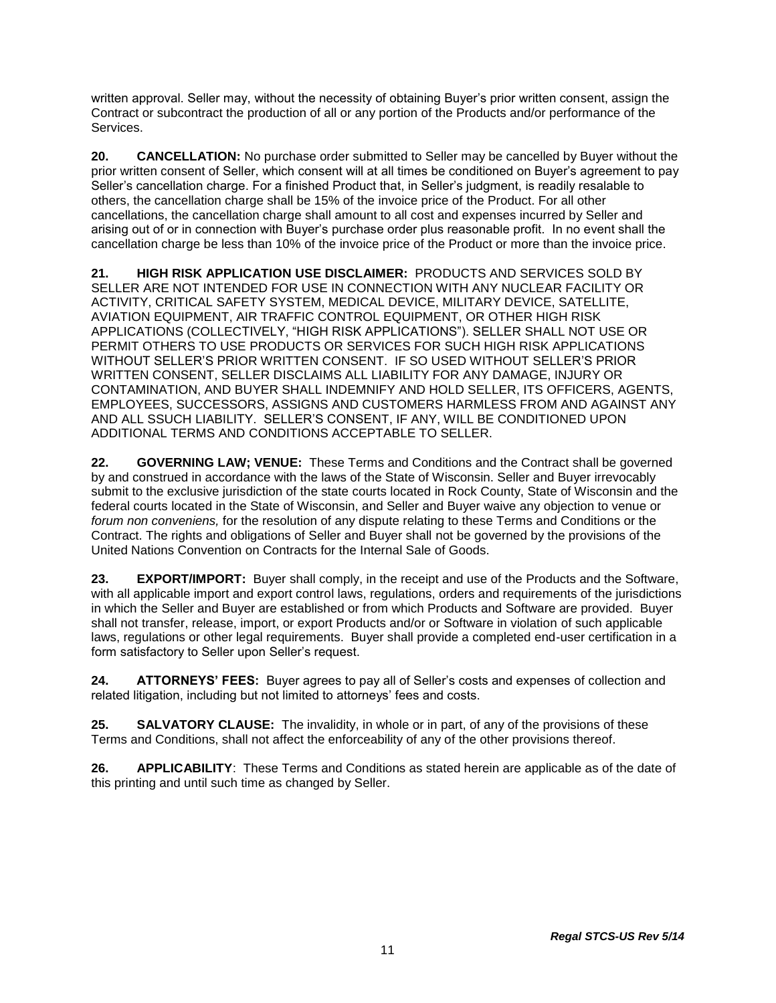written approval. Seller may, without the necessity of obtaining Buyer's prior written consent, assign the Contract or subcontract the production of all or any portion of the Products and/or performance of the Services.

**20. CANCELLATION:** No purchase order submitted to Seller may be cancelled by Buyer without the prior written consent of Seller, which consent will at all times be conditioned on Buyer's agreement to pay Seller's cancellation charge. For a finished Product that, in Seller's judgment, is readily resalable to others, the cancellation charge shall be 15% of the invoice price of the Product. For all other cancellations, the cancellation charge shall amount to all cost and expenses incurred by Seller and arising out of or in connection with Buyer's purchase order plus reasonable profit. In no event shall the cancellation charge be less than 10% of the invoice price of the Product or more than the invoice price.

**21. HIGH RISK APPLICATION USE DISCLAIMER:** PRODUCTS AND SERVICES SOLD BY SELLER ARE NOT INTENDED FOR USE IN CONNECTION WITH ANY NUCLEAR FACILITY OR ACTIVITY, CRITICAL SAFETY SYSTEM, MEDICAL DEVICE, MILITARY DEVICE, SATELLITE, AVIATION EQUIPMENT, AIR TRAFFIC CONTROL EQUIPMENT, OR OTHER HIGH RISK APPLICATIONS (COLLECTIVELY, "HIGH RISK APPLICATIONS"). SELLER SHALL NOT USE OR PERMIT OTHERS TO USE PRODUCTS OR SERVICES FOR SUCH HIGH RISK APPLICATIONS WITHOUT SELLER'S PRIOR WRITTEN CONSENT. IF SO USED WITHOUT SELLER'S PRIOR WRITTEN CONSENT, SELLER DISCLAIMS ALL LIABILITY FOR ANY DAMAGE, INJURY OR CONTAMINATION, AND BUYER SHALL INDEMNIFY AND HOLD SELLER, ITS OFFICERS, AGENTS, EMPLOYEES, SUCCESSORS, ASSIGNS AND CUSTOMERS HARMLESS FROM AND AGAINST ANY AND ALL SSUCH LIABILITY. SELLER'S CONSENT, IF ANY, WILL BE CONDITIONED UPON ADDITIONAL TERMS AND CONDITIONS ACCEPTABLE TO SELLER.

**22. GOVERNING LAW; VENUE:** These Terms and Conditions and the Contract shall be governed by and construed in accordance with the laws of the State of Wisconsin. Seller and Buyer irrevocably submit to the exclusive jurisdiction of the state courts located in Rock County, State of Wisconsin and the federal courts located in the State of Wisconsin, and Seller and Buyer waive any objection to venue or *forum non conveniens,* for the resolution of any dispute relating to these Terms and Conditions or the Contract. The rights and obligations of Seller and Buyer shall not be governed by the provisions of the United Nations Convention on Contracts for the Internal Sale of Goods.

**23. EXPORT/IMPORT:** Buyer shall comply, in the receipt and use of the Products and the Software, with all applicable import and export control laws, regulations, orders and requirements of the jurisdictions in which the Seller and Buyer are established or from which Products and Software are provided. Buyer shall not transfer, release, import, or export Products and/or or Software in violation of such applicable laws, regulations or other legal requirements. Buyer shall provide a completed end-user certification in a form satisfactory to Seller upon Seller's request.

**24. ATTORNEYS' FEES:** Buyer agrees to pay all of Seller's costs and expenses of collection and related litigation, including but not limited to attorneys' fees and costs.

**25. SALVATORY CLAUSE:** The invalidity, in whole or in part, of any of the provisions of these Terms and Conditions, shall not affect the enforceability of any of the other provisions thereof.

**26. APPLICABILITY**: These Terms and Conditions as stated herein are applicable as of the date of this printing and until such time as changed by Seller.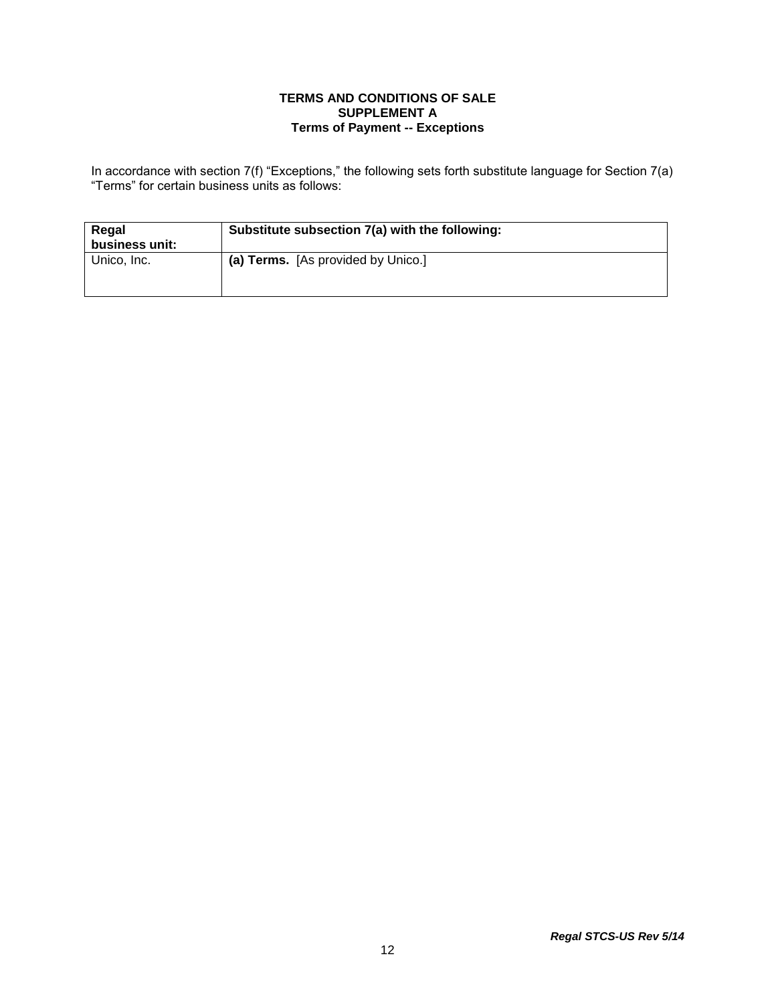### **TERMS AND CONDITIONS OF SALE SUPPLEMENT A Terms of Payment -- Exceptions**

In accordance with section 7(f) "Exceptions," the following sets forth substitute language for Section 7(a) "Terms" for certain business units as follows:

| Regal<br>business unit: | Substitute subsection 7(a) with the following: |
|-------------------------|------------------------------------------------|
| Unico, Inc.             | (a) Terms. [As provided by Unico.]             |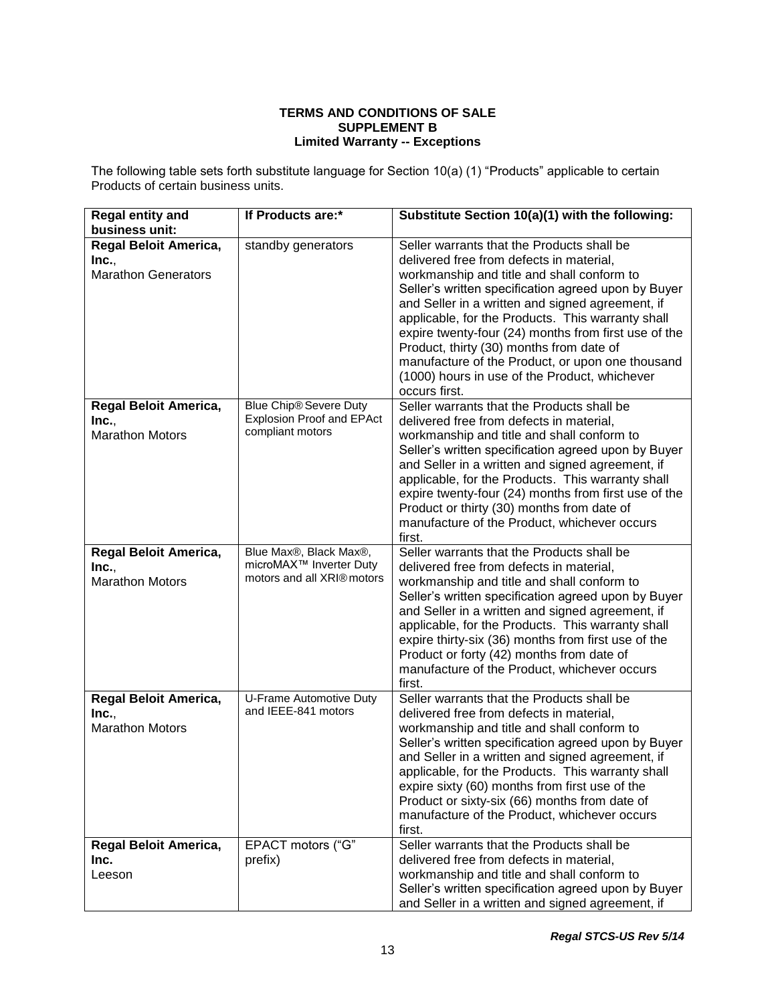### **TERMS AND CONDITIONS OF SALE SUPPLEMENT B Limited Warranty -- Exceptions**

The following table sets forth substitute language for Section 10(a) (1) "Products" applicable to certain Products of certain business units.

| <b>Regal entity and</b><br>business unit:                       | If Products are:*                                                                           | Substitute Section 10(a)(1) with the following:                                                                                                                                                                                                                                                                                                                                                                                                                                                                                |
|-----------------------------------------------------------------|---------------------------------------------------------------------------------------------|--------------------------------------------------------------------------------------------------------------------------------------------------------------------------------------------------------------------------------------------------------------------------------------------------------------------------------------------------------------------------------------------------------------------------------------------------------------------------------------------------------------------------------|
| Regal Beloit America,<br>Inc.,<br><b>Marathon Generators</b>    | standby generators                                                                          | Seller warrants that the Products shall be<br>delivered free from defects in material,<br>workmanship and title and shall conform to<br>Seller's written specification agreed upon by Buyer<br>and Seller in a written and signed agreement, if<br>applicable, for the Products. This warranty shall<br>expire twenty-four (24) months from first use of the<br>Product, thirty (30) months from date of<br>manufacture of the Product, or upon one thousand<br>(1000) hours in use of the Product, whichever<br>occurs first. |
| <b>Regal Beloit America,</b><br>Inc.,<br><b>Marathon Motors</b> | Blue Chip® Severe Duty<br><b>Explosion Proof and EPAct</b><br>compliant motors              | Seller warrants that the Products shall be<br>delivered free from defects in material,<br>workmanship and title and shall conform to<br>Seller's written specification agreed upon by Buyer<br>and Seller in a written and signed agreement, if<br>applicable, for the Products. This warranty shall<br>expire twenty-four (24) months from first use of the<br>Product or thirty (30) months from date of<br>manufacture of the Product, whichever occurs<br>first.                                                           |
| Regal Beloit America,<br>Inc.,<br><b>Marathon Motors</b>        | Blue Max®, Black Max®,<br>microMAX <sup>™</sup> Inverter Duty<br>motors and all XRI® motors | Seller warrants that the Products shall be<br>delivered free from defects in material,<br>workmanship and title and shall conform to<br>Seller's written specification agreed upon by Buyer<br>and Seller in a written and signed agreement, if<br>applicable, for the Products. This warranty shall<br>expire thirty-six (36) months from first use of the<br>Product or forty (42) months from date of<br>manufacture of the Product, whichever occurs<br>first.                                                             |
| Regal Beloit America,<br>Inc.,<br><b>Marathon Motors</b>        | U-Frame Automotive Duty<br>and IEEE-841 motors                                              | Seller warrants that the Products shall be<br>delivered free from defects in material,<br>workmanship and title and shall conform to<br>Seller's written specification agreed upon by Buyer<br>and Seller in a written and signed agreement, if<br>applicable, for the Products. This warranty shall<br>expire sixty (60) months from first use of the<br>Product or sixty-six (66) months from date of<br>manufacture of the Product, whichever occurs<br>first.                                                              |
| Regal Beloit America,<br>Inc.<br>Leeson                         | EPACT motors ("G"<br>prefix)                                                                | Seller warrants that the Products shall be<br>delivered free from defects in material,<br>workmanship and title and shall conform to<br>Seller's written specification agreed upon by Buyer<br>and Seller in a written and signed agreement, if                                                                                                                                                                                                                                                                                |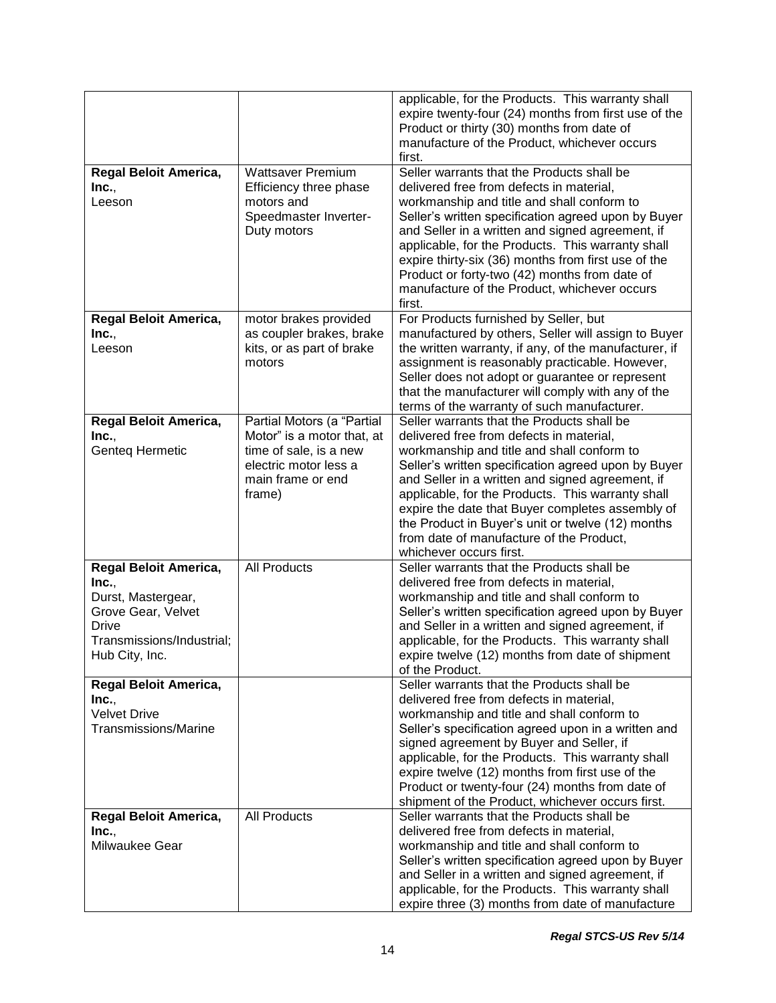|                                                                                                                                           |                                                                                                                                            | applicable, for the Products. This warranty shall<br>expire twenty-four (24) months from first use of the<br>Product or thirty (30) months from date of<br>manufacture of the Product, whichever occurs<br>first.                                                                                                                                                                                                                                                                    |
|-------------------------------------------------------------------------------------------------------------------------------------------|--------------------------------------------------------------------------------------------------------------------------------------------|--------------------------------------------------------------------------------------------------------------------------------------------------------------------------------------------------------------------------------------------------------------------------------------------------------------------------------------------------------------------------------------------------------------------------------------------------------------------------------------|
| Regal Beloit America,<br>Inc.,<br>Leeson                                                                                                  | <b>Wattsaver Premium</b><br>Efficiency three phase<br>motors and<br>Speedmaster Inverter-<br>Duty motors                                   | Seller warrants that the Products shall be<br>delivered free from defects in material,<br>workmanship and title and shall conform to<br>Seller's written specification agreed upon by Buyer<br>and Seller in a written and signed agreement, if<br>applicable, for the Products. This warranty shall<br>expire thirty-six (36) months from first use of the<br>Product or forty-two (42) months from date of<br>manufacture of the Product, whichever occurs<br>first.               |
| Regal Beloit America,<br>Inc.,<br>Leeson                                                                                                  | motor brakes provided<br>as coupler brakes, brake<br>kits, or as part of brake<br>motors                                                   | For Products furnished by Seller, but<br>manufactured by others, Seller will assign to Buyer<br>the written warranty, if any, of the manufacturer, if<br>assignment is reasonably practicable. However,<br>Seller does not adopt or guarantee or represent<br>that the manufacturer will comply with any of the<br>terms of the warranty of such manufacturer.                                                                                                                       |
| Regal Beloit America,<br>Inc.,<br>Genteq Hermetic                                                                                         | Partial Motors (a "Partial<br>Motor" is a motor that, at<br>time of sale, is a new<br>electric motor less a<br>main frame or end<br>frame) | Seller warrants that the Products shall be<br>delivered free from defects in material,<br>workmanship and title and shall conform to<br>Seller's written specification agreed upon by Buyer<br>and Seller in a written and signed agreement, if<br>applicable, for the Products. This warranty shall<br>expire the date that Buyer completes assembly of<br>the Product in Buyer's unit or twelve (12) months<br>from date of manufacture of the Product,<br>whichever occurs first. |
| Regal Beloit America,<br>Inc.,<br>Durst, Mastergear,<br>Grove Gear, Velvet<br><b>Drive</b><br>Transmissions/Industrial;<br>Hub City, Inc. | <b>All Products</b>                                                                                                                        | Seller warrants that the Products shall be<br>delivered free from defects in material,<br>workmanship and title and shall conform to<br>Seller's written specification agreed upon by Buyer<br>and Seller in a written and signed agreement, if<br>applicable, for the Products. This warranty shall<br>expire twelve (12) months from date of shipment<br>of the Product.                                                                                                           |
| Regal Beloit America,<br>Inc.,<br><b>Velvet Drive</b><br><b>Transmissions/Marine</b>                                                      |                                                                                                                                            | Seller warrants that the Products shall be<br>delivered free from defects in material,<br>workmanship and title and shall conform to<br>Seller's specification agreed upon in a written and<br>signed agreement by Buyer and Seller, if<br>applicable, for the Products. This warranty shall<br>expire twelve (12) months from first use of the<br>Product or twenty-four (24) months from date of<br>shipment of the Product, whichever occurs first.                               |
| Regal Beloit America,<br>Inc.<br>Milwaukee Gear                                                                                           | <b>All Products</b>                                                                                                                        | Seller warrants that the Products shall be<br>delivered free from defects in material,<br>workmanship and title and shall conform to<br>Seller's written specification agreed upon by Buyer<br>and Seller in a written and signed agreement, if<br>applicable, for the Products. This warranty shall<br>expire three (3) months from date of manufacture                                                                                                                             |